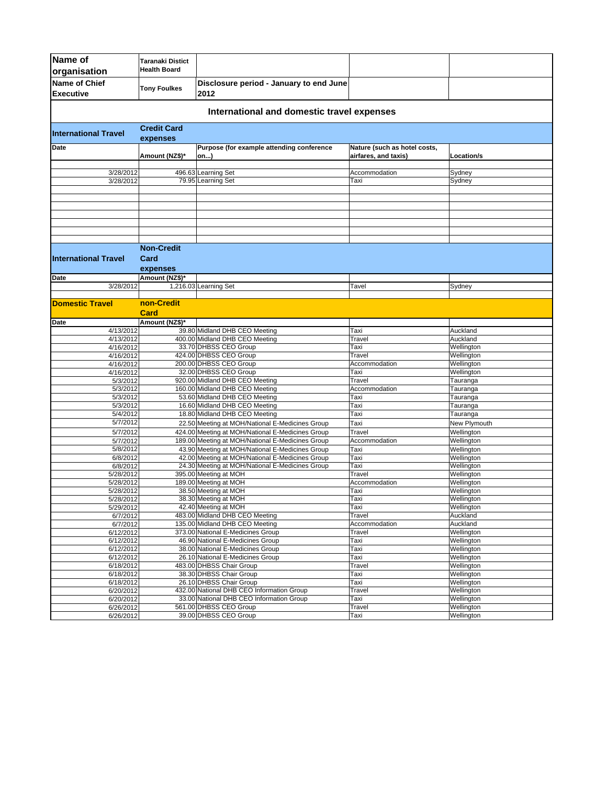| Name of                                    | <b>Taranaki Distict</b>               |                                                                                                    |                                                      |                          |  |
|--------------------------------------------|---------------------------------------|----------------------------------------------------------------------------------------------------|------------------------------------------------------|--------------------------|--|
| organisation                               | <b>Health Board</b>                   |                                                                                                    |                                                      |                          |  |
| <b>Name of Chief</b>                       |                                       | Disclosure period - January to end June                                                            |                                                      |                          |  |
| <b>Executive</b>                           | <b>Tony Foulkes</b>                   | 2012                                                                                               |                                                      |                          |  |
| International and domestic travel expenses |                                       |                                                                                                    |                                                      |                          |  |
| <b>International Travel</b>                | <b>Credit Card</b><br>expenses        |                                                                                                    |                                                      |                          |  |
| Date                                       | Amount (NZ\$)*                        | Purpose (for example attending conference<br>on)                                                   | Nature (such as hotel costs,<br>airfares, and taxis) | Location/s               |  |
| 3/28/2012                                  |                                       | 496.63 Learning Set                                                                                | Accommodation                                        | Sydney                   |  |
| 3/28/2012                                  |                                       | 79.95 Learning Set                                                                                 | Taxi                                                 | Sydney                   |  |
|                                            |                                       |                                                                                                    |                                                      |                          |  |
|                                            |                                       |                                                                                                    |                                                      |                          |  |
|                                            |                                       |                                                                                                    |                                                      |                          |  |
|                                            |                                       |                                                                                                    |                                                      |                          |  |
|                                            |                                       |                                                                                                    |                                                      |                          |  |
|                                            |                                       |                                                                                                    |                                                      |                          |  |
| <b>International Travel</b>                | <b>Non-Credit</b><br>Card<br>expenses |                                                                                                    |                                                      |                          |  |
| Date                                       | Amount (NZ\$)*                        |                                                                                                    |                                                      |                          |  |
| 3/28/2012                                  |                                       | 1,216.03 Learning Set                                                                              | Tavel                                                | Sydney                   |  |
|                                            |                                       |                                                                                                    |                                                      |                          |  |
| <b>Domestic Travel</b>                     | non-Credit                            |                                                                                                    |                                                      |                          |  |
|                                            | Card                                  |                                                                                                    |                                                      |                          |  |
| Date<br>4/13/2012                          | Amount (NZ\$)*                        | 39.80 Midland DHB CEO Meeting                                                                      | Taxi                                                 | Auckland                 |  |
| 4/13/2012                                  |                                       | 400.00 Midland DHB CEO Meeting                                                                     | Travel                                               | Auckland                 |  |
| 4/16/2012                                  |                                       | 33.70 DHBSS CEO Group                                                                              | Taxi                                                 | Wellington               |  |
| 4/16/2012                                  |                                       | 424.00 DHBSS CEO Group                                                                             | Travel                                               | Wellington               |  |
| 4/16/2012                                  |                                       | 200.00 DHBSS CEO Group                                                                             | Accommodation                                        | Wellington               |  |
| 4/16/2012                                  |                                       | 32.00 DHBSS CEO Group                                                                              | Taxi                                                 | Wellington               |  |
| 5/3/2012<br>5/3/2012                       |                                       | 920.00 Midland DHB CEO Meeting<br>160.00 Midland DHB CEO Meeting                                   | Travel<br>Accommodation                              | Tauranga<br>Tauranga     |  |
| 5/3/2012                                   |                                       | 53.60 Midland DHB CEO Meeting                                                                      | Taxi                                                 | Tauranga                 |  |
| 5/3/2012                                   |                                       | 16.60 Midland DHB CEO Meeting                                                                      | Taxi                                                 | Tauranga                 |  |
| 5/4/2012                                   |                                       | 18.80 Midland DHB CEO Meeting                                                                      | Taxi                                                 | Tauranga                 |  |
| 5/7/2012                                   |                                       | 22.50 Meeting at MOH/National E-Medicines Group                                                    | Taxi                                                 | New Plymouth             |  |
| 5/7/2012                                   |                                       | 424.00 Meeting at MOH/National E-Medicines Group                                                   | Travel                                               | Wellington               |  |
| 5/7/2012                                   |                                       | 189.00 Meeting at MOH/National E-Medicines Group                                                   | Accommodation                                        | Wellington               |  |
| 5/8/2012<br>6/8/2012                       |                                       | 43.90 Meeting at MOH/National E-Medicines Group<br>42.00 Meeting at MOH/National E-Medicines Group | Taxi<br>Taxi                                         | Wellington<br>Wellington |  |
| 6/8/2012                                   |                                       | 24.30 Meeting at MOH/National E-Medicines Group                                                    | Taxi                                                 | Wellington               |  |
| 5/28/2012                                  |                                       | 395.00 Meeting at MOH                                                                              | Travel                                               | Wellington               |  |
| 5/28/2012                                  |                                       | 189.00 Meeting at MOH                                                                              | Accommodation                                        | Wellington               |  |
| 5/28/2012                                  |                                       | 38.50 Meeting at MOH                                                                               | Taxi                                                 | Wellington               |  |
| 5/28/2012<br>5/29/2012                     |                                       | 38.30 Meeting at MOH<br>42.40 Meeting at MOH                                                       | Taxi<br>Taxi                                         | Wellington<br>Wellington |  |
| 6/7/2012                                   |                                       | 483.00 Midland DHB CEO Meeting                                                                     | Travel                                               | Auckland                 |  |
| 6/7/2012                                   |                                       | 135.00 Midland DHB CEO Meeting                                                                     | Accommodation                                        | Auckland                 |  |
| 6/12/2012                                  |                                       | 373.00 National E-Medicines Group                                                                  | Travel                                               | Wellington               |  |
| 6/12/2012                                  |                                       | 46.90 National E-Medicines Group                                                                   | Taxi                                                 | Wellington               |  |
| 6/12/2012<br>6/12/2012                     |                                       | 38.00 National E-Medicines Group<br>26.10 National E-Medicines Group                               | Taxi<br>Taxi                                         | Wellington<br>Wellington |  |
| 6/18/2012                                  |                                       | 483.00 DHBSS Chair Group                                                                           | Travel                                               | Wellington               |  |
| 6/18/2012                                  |                                       | 38.30 DHBSS Chair Group                                                                            | Taxi                                                 | Wellington               |  |
| 6/18/2012                                  |                                       | 26.10 DHBSS Chair Group                                                                            | Taxi                                                 | Wellington               |  |
| 6/20/2012                                  |                                       | 432.00 National DHB CEO Information Group                                                          | Travel                                               | Wellington               |  |
| 6/20/2012                                  |                                       | 33.00 National DHB CEO Information Group                                                           | Taxi                                                 | Wellington               |  |
| 6/26/2012<br>6/26/2012                     |                                       | 561.00 DHBSS CEO Group<br>39.00 DHBSS CEO Group                                                    | Travel<br>Taxi                                       | Wellington<br>Wellington |  |
|                                            |                                       |                                                                                                    |                                                      |                          |  |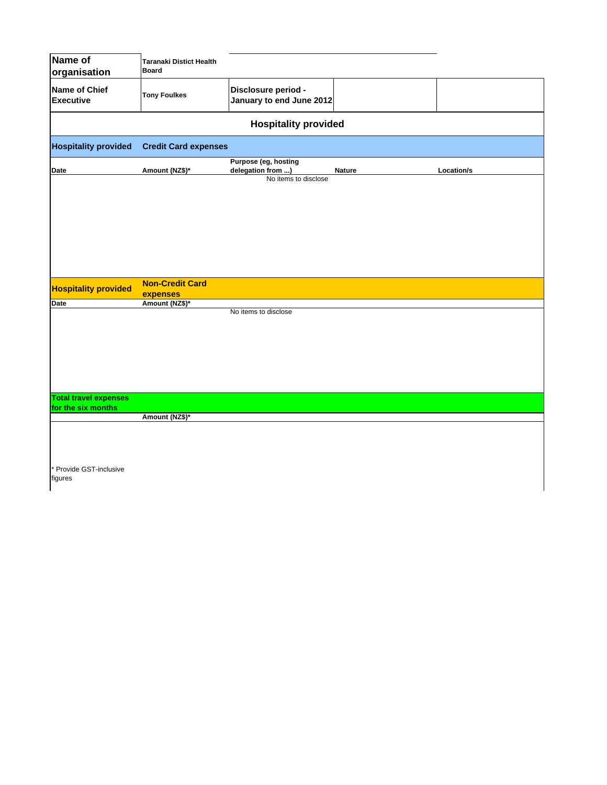| Name of                                  | <b>Taranaki Distict Health</b>     |                                                                   |        |            |  |  |  |
|------------------------------------------|------------------------------------|-------------------------------------------------------------------|--------|------------|--|--|--|
| organisation                             | <b>Board</b>                       |                                                                   |        |            |  |  |  |
| <b>Name of Chief</b><br><b>Executive</b> | <b>Tony Foulkes</b>                | Disclosure period -<br>January to end June 2012                   |        |            |  |  |  |
| <b>Hospitality provided</b>              |                                    |                                                                   |        |            |  |  |  |
| <b>Hospitality provided</b>              | <b>Credit Card expenses</b>        |                                                                   |        |            |  |  |  |
| Date                                     | Amount (NZ\$)*                     | Purpose (eg, hosting<br>delegation from )<br>No items to disclose | Nature | Location/s |  |  |  |
|                                          |                                    |                                                                   |        |            |  |  |  |
|                                          |                                    |                                                                   |        |            |  |  |  |
|                                          |                                    |                                                                   |        |            |  |  |  |
|                                          |                                    |                                                                   |        |            |  |  |  |
|                                          |                                    |                                                                   |        |            |  |  |  |
| <b>Hospitality provided</b>              | <b>Non-Credit Card</b><br>expenses |                                                                   |        |            |  |  |  |
| <b>Date</b>                              | Amount (NZ\$)*                     |                                                                   |        |            |  |  |  |
|                                          |                                    | No items to disclose                                              |        |            |  |  |  |
|                                          |                                    |                                                                   |        |            |  |  |  |
|                                          |                                    |                                                                   |        |            |  |  |  |
|                                          |                                    |                                                                   |        |            |  |  |  |
|                                          |                                    |                                                                   |        |            |  |  |  |
|                                          |                                    |                                                                   |        |            |  |  |  |
|                                          |                                    |                                                                   |        |            |  |  |  |
| <b>Total travel expenses</b>             |                                    |                                                                   |        |            |  |  |  |
| for the six months                       |                                    |                                                                   |        |            |  |  |  |
|                                          | Amount (NZ\$)*                     |                                                                   |        |            |  |  |  |
|                                          |                                    |                                                                   |        |            |  |  |  |
|                                          |                                    |                                                                   |        |            |  |  |  |
|                                          |                                    |                                                                   |        |            |  |  |  |
| Provide GST-inclusive                    |                                    |                                                                   |        |            |  |  |  |

 $\mathsf{l}$ 

figures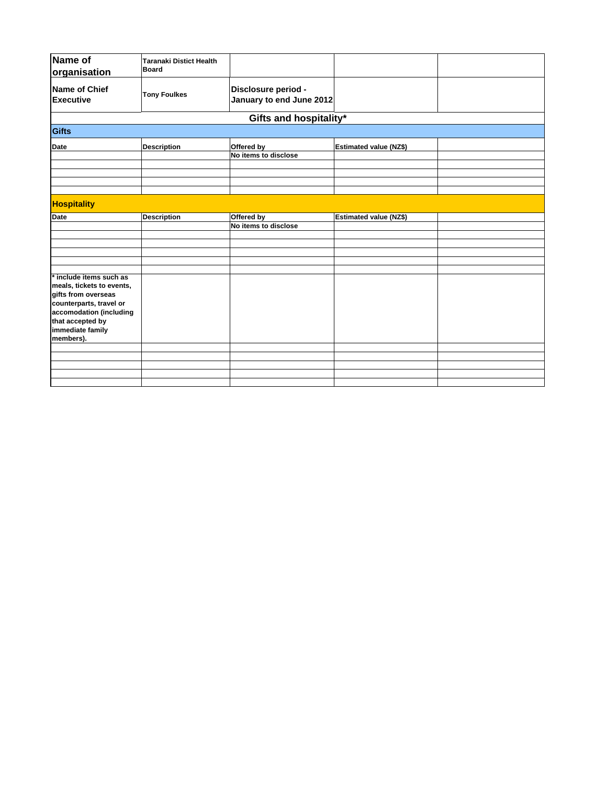| Name of<br>organisation                                                                                                                                                 | <b>Taranaki Distict Health</b><br>Board |                                                 |                               |  |
|-------------------------------------------------------------------------------------------------------------------------------------------------------------------------|-----------------------------------------|-------------------------------------------------|-------------------------------|--|
| Name of Chief<br><b>Executive</b>                                                                                                                                       | <b>Tony Foulkes</b>                     | Disclosure period -<br>January to end June 2012 |                               |  |
|                                                                                                                                                                         |                                         | Gifts and hospitality*                          |                               |  |
| <b>Gifts</b>                                                                                                                                                            |                                         |                                                 |                               |  |
| <b>Date</b>                                                                                                                                                             | <b>Description</b>                      | Offered by<br>No items to disclose              | <b>Estimated value (NZ\$)</b> |  |
|                                                                                                                                                                         |                                         |                                                 |                               |  |
| <b>Hospitality</b>                                                                                                                                                      |                                         |                                                 |                               |  |
| Date                                                                                                                                                                    | <b>Description</b>                      | Offered by<br>No items to disclose              | <b>Estimated value (NZ\$)</b> |  |
|                                                                                                                                                                         |                                         |                                                 |                               |  |
| include items such as<br>meals, tickets to events,<br>gifts from overseas<br>counterparts, travel or<br>accomodation (including<br>that accepted by<br>immediate family |                                         |                                                 |                               |  |
| members).                                                                                                                                                               |                                         |                                                 |                               |  |
|                                                                                                                                                                         |                                         |                                                 |                               |  |
|                                                                                                                                                                         |                                         |                                                 |                               |  |